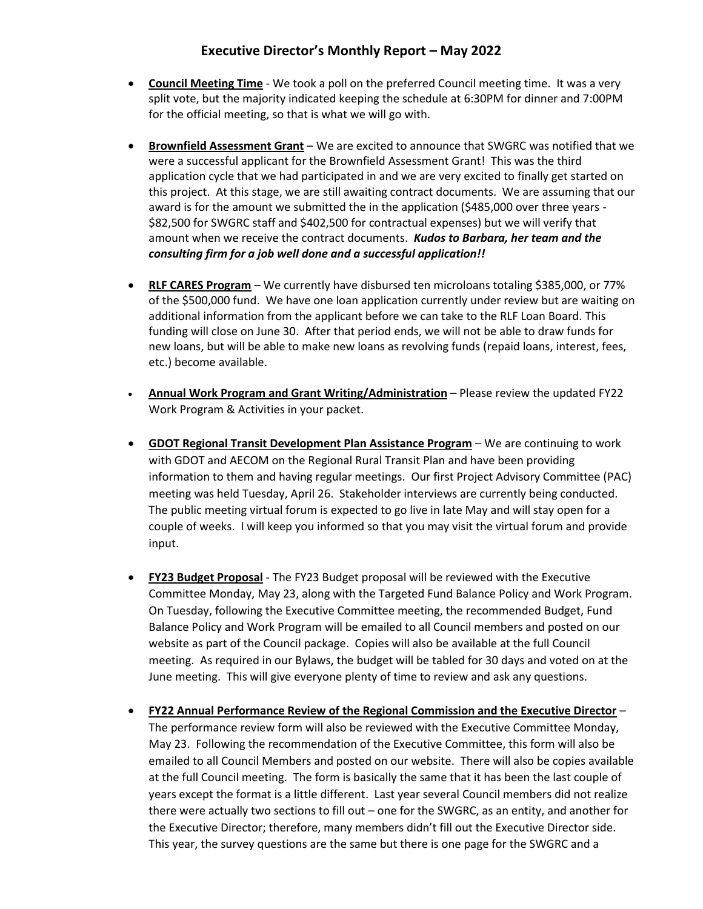## **Executive Director's Monthly Report – May 2022**

- **Council Meeting Time** We took a poll on the preferred Council meeting time. It was a very split vote, but the majority indicated keeping the schedule at 6:30PM for dinner and 7:00PM for the official meeting, so that is what we will go with.
- **Brownfield Assessment Grant** We are excited to announce that SWGRC was notified that we were a successful applicant for the Brownfield Assessment Grant! This was the third application cycle that we had participated in and we are very excited to finally get started on this project. At this stage, we are still awaiting contract documents. We are assuming that our award is for the amount we submitted the in the application (\$485,000 over three years - \$82,500 for SWGRC staff and \$402,500 for contractual expenses) but we will verify that amount when we receive the contract documents. *Kudos to Barbara, her team and the consulting firm for a job well done and a successful application!!*
- **RLF CARES Program** We currently have disbursed ten microloans totaling \$385,000, or 77% of the \$500,000 fund. We have one loan application currently under review but are waiting on additional information from the applicant before we can take to the RLF Loan Board. This funding will close on June 30. After that period ends, we will not be able to draw funds for new loans, but will be able to make new loans as revolving funds (repaid loans, interest, fees, etc.) become available.
- **Annual Work Program and Grant Writing/Administration** Please review the updated FY22 Work Program & Activities in your packet.
- **GDOT Regional Transit Development Plan Assistance Program** We are continuing to work with GDOT and AECOM on the Regional Rural Transit Plan and have been providing information to them and having regular meetings. Our first Project Advisory Committee (PAC) meeting was held Tuesday, April 26. Stakeholder interviews are currently being conducted. The public meeting virtual forum is expected to go live in late May and will stay open for a couple of weeks. I will keep you informed so that you may visit the virtual forum and provide input.
- **FY23 Budget Proposal** The FY23 Budget proposal will be reviewed with the Executive Committee Monday, May 23, along with the Targeted Fund Balance Policy and Work Program. On Tuesday, following the Executive Committee meeting, the recommended Budget, Fund Balance Policy and Work Program will be emailed to all Council members and posted on our website as part of the Council package. Copies will also be available at the full Council meeting. As required in our Bylaws, the budget will be tabled for 30 days and voted on at the June meeting. This will give everyone plenty of time to review and ask any questions.
- **FY22 Annual Performance Review of the Regional Commission and the Executive Director** The performance review form will also be reviewed with the Executive Committee Monday, May 23. Following the recommendation of the Executive Committee, this form will also be emailed to all Council Members and posted on our website. There will also be copies available at the full Council meeting. The form is basically the same that it has been the last couple of years except the format is a little different. Last year several Council members did not realize there were actually two sections to fill out – one for the SWGRC, as an entity, and another for the Executive Director; therefore, many members didn't fill out the Executive Director side. This year, the survey questions are the same but there is one page for the SWGRC and a